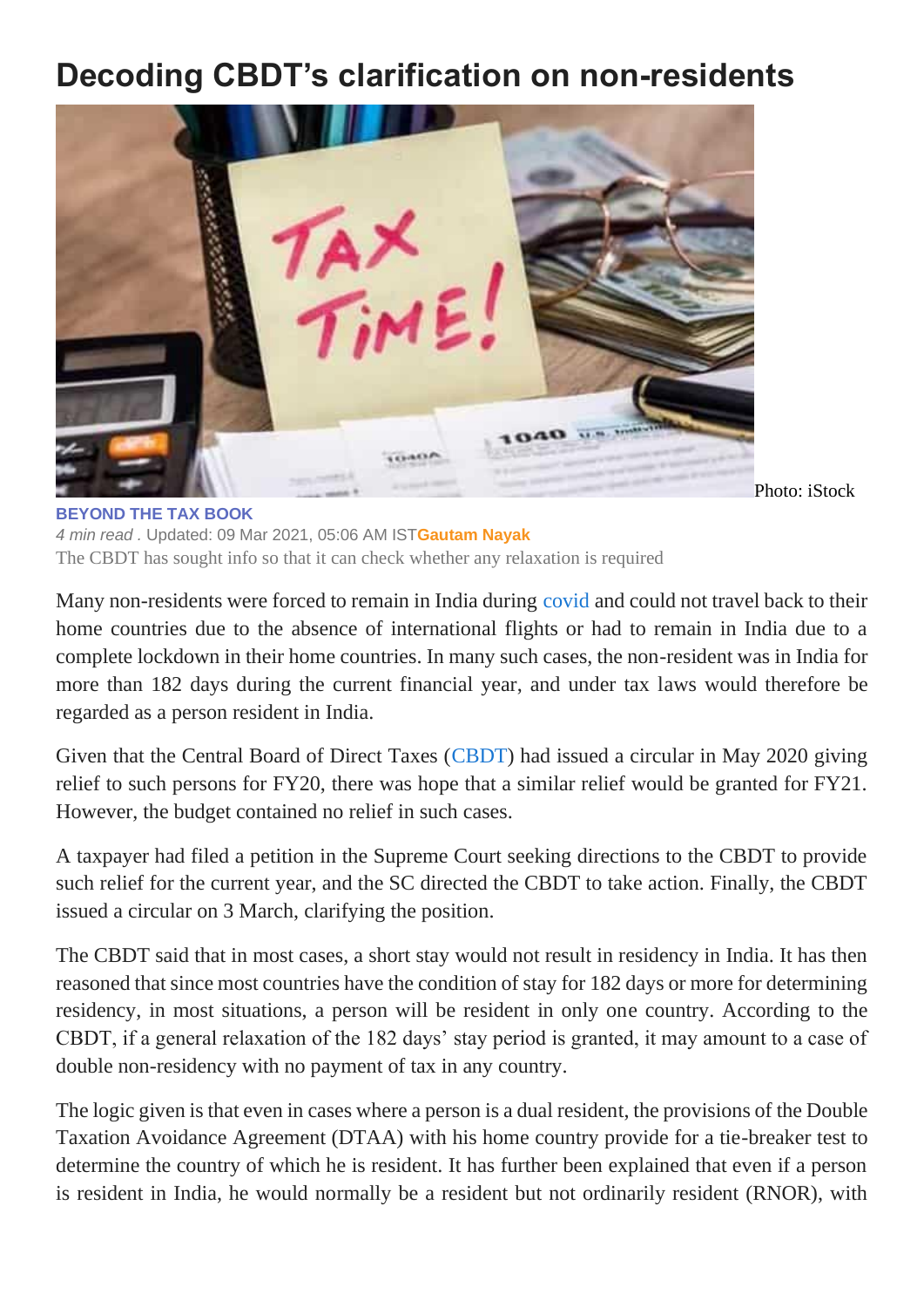## **Decoding CBDT's clarification on non-residents**



**[BEYOND THE TAX BOOK](https://www.livemint.com/column/beyond-the-tax-book)** *4 min read .* Updated: 09 Mar 2021, 05:06 AM IST**[Gautam Nayak](https://www.livemint.com/Search/Link/Author/Gautam-Nayak)** The CBDT has sought info so that it can check whether any relaxation is required

Many non-residents were forced to remain in India during [covid](https://www.livemint.com/news/india/coronavirus-update-india-records-18-599-cases-in-a-day-active-tally-up-again-11615175862457.html) and could not travel back to their home countries due to the absence of international flights or had to remain in India due to a complete lockdown in their home countries. In many such cases, the non-resident was in India for more than 182 days during the current financial year, and under tax laws would therefore be regarded as a person resident in India.

Given that the Central Board of Direct Taxes [\(CBDT\)](https://www.livemint.com/news/india/cbdt-gives-time-till-march-end-to-nris-expats-to-seek-relief-from-double-taxation-11614796964247.html) had issued a circular in May 2020 giving relief to such persons for FY20, there was hope that a similar relief would be granted for FY21. However, the budget contained no relief in such cases.

A taxpayer had filed a petition in the Supreme Court seeking directions to the CBDT to provide such relief for the current year, and the SC directed the CBDT to take action. Finally, the CBDT issued a circular on 3 March, clarifying the position.

The CBDT said that in most cases, a short stay would not result in residency in India. It has then reasoned that since most countries have the condition of stay for 182 days or more for determining residency, in most situations, a person will be resident in only one country. According to the CBDT, if a general relaxation of the 182 days' stay period is granted, it may amount to a case of double non-residency with no payment of tax in any country.

The logic given is that even in cases where a person is a dual resident, the provisions of the Double Taxation Avoidance Agreement (DTAA) with his home country provide for a tie-breaker test to determine the country of which he is resident. It has further been explained that even if a person is resident in India, he would normally be a resident but not ordinarily resident (RNOR), with